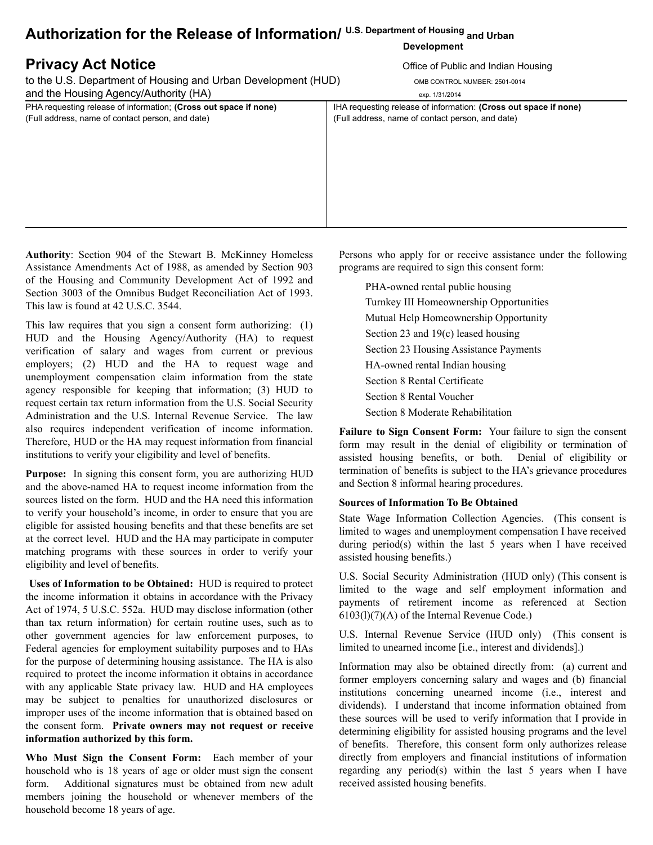# **Authorization for the Release of Information/ U.S. Department of Housing and Urban**

# **Privacy Act Notice Contract Contract Contract Contract Contract Contract Contract Contract Contract Contract Contract Contract Contract Contract Contract Contract Contract Contract Contract Contract Contract Contract Co**

to the U.S. Department of Housing and Urban Development (HUD) OMB CONTROL NUMBER: 2501-0014 and the Housing Agency/Authority (HA) exp. 1/31/2014

PHA requesting release of information; **(Cross out space if none)** IHA requesting release of information: **(Cross out space if none)** (Full address, name of contact person, and date) (Full address, name of contact person, and date)

## **Development**

**Authority**: Section 904 of the Stewart B. McKinney Homeless Assistance Amendments Act of 1988, as amended by Section 903 of the Housing and Community Development Act of 1992 and Section 3003 of the Omnibus Budget Reconciliation Act of 1993. This law is found at 42 U.S.C. 3544.

This law requires that you sign a consent form authorizing: (1) HUD and the Housing Agency/Authority (HA) to request verification of salary and wages from current or previous employers; (2) HUD and the HA to request wage and unemployment compensation claim information from the state agency responsible for keeping that information; (3) HUD to request certain tax return information from the U.S. Social Security Administration and the U.S. Internal Revenue Service. The law also requires independent verification of income information. Therefore, HUD or the HA may request information from financial institutions to verify your eligibility and level of benefits.

**Purpose:** In signing this consent form, you are authorizing HUD and the above-named HA to request income information from the sources listed on the form. HUD and the HA need this information to verify your household's income, in order to ensure that you are eligible for assisted housing benefits and that these benefits are set at the correct level. HUD and the HA may participate in computer matching programs with these sources in order to verify your eligibility and level of benefits.

**Uses of Information to be Obtained:** HUD is required to protect the income information it obtains in accordance with the Privacy Act of 1974, 5 U.S.C. 552a. HUD may disclose information (other than tax return information) for certain routine uses, such as to other government agencies for law enforcement purposes, to Federal agencies for employment suitability purposes and to HAs for the purpose of determining housing assistance. The HA is also required to protect the income information it obtains in accordance with any applicable State privacy law. HUD and HA employees may be subject to penalties for unauthorized disclosures or improper uses of the income information that is obtained based on the consent form. **Private owners may not request or receive information authorized by this form.**

**Who Must Sign the Consent Form:** Each member of your household who is 18 years of age or older must sign the consent form. Additional signatures must be obtained from new adult members joining the household or whenever members of the household become 18 years of age.

Persons who apply for or receive assistance under the following programs are required to sign this consent form:

PHA-owned rental public housing Turnkey III Homeownership Opportunities Mutual Help Homeownership Opportunity Section 23 and 19(c) leased housing Section 23 Housing Assistance Payments HA-owned rental Indian housing Section 8 Rental Certificate Section 8 Rental Voucher Section 8 Moderate Rehabilitation

**Failure to Sign Consent Form:** Your failure to sign the consent form may result in the denial of eligibility or termination of assisted housing benefits, or both. Denial of eligibility or termination of benefits is subject to the HA's grievance procedures and Section 8 informal hearing procedures.

## **Sources of Information To Be Obtained**

State Wage Information Collection Agencies. (This consent is limited to wages and unemployment compensation I have received during period(s) within the last 5 years when I have received assisted housing benefits.)

U.S. Social Security Administration (HUD only) (This consent is limited to the wage and self employment information and payments of retirement income as referenced at Section 6103(l)(7)(A) of the Internal Revenue Code.)

U.S. Internal Revenue Service (HUD only) (This consent is limited to unearned income [i.e., interest and dividends].)

Information may also be obtained directly from: (a) current and former employers concerning salary and wages and (b) financial institutions concerning unearned income (i.e., interest and dividends). I understand that income information obtained from these sources will be used to verify information that I provide in determining eligibility for assisted housing programs and the level of benefits. Therefore, this consent form only authorizes release directly from employers and financial institutions of information regarding any period(s) within the last 5 years when I have received assisted housing benefits.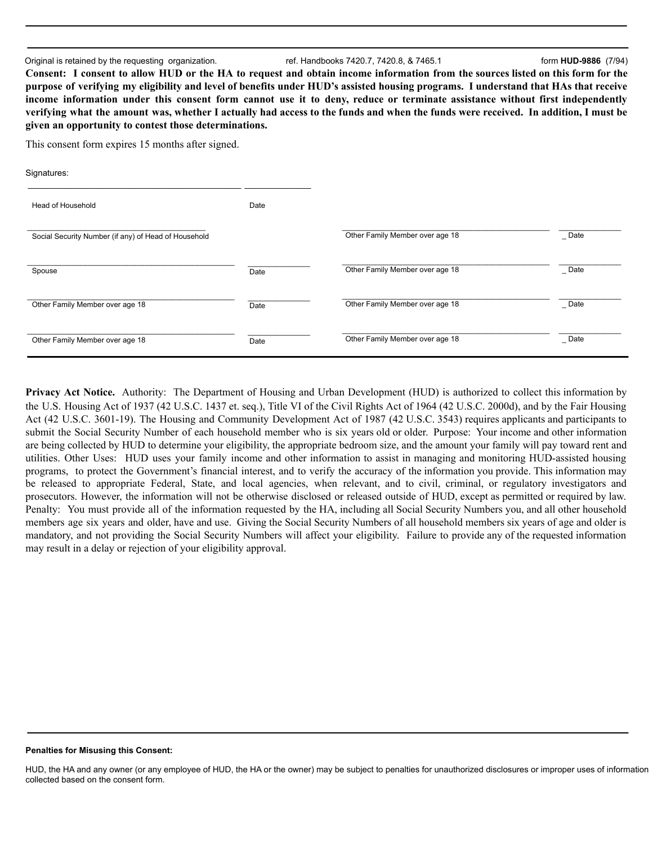#### Original is retained by the requesting organization. ref. Handbooks 7420.7, 7420.8, & 7465.1 form **HUD-9886** (7/94)

Consent: I consent to allow HUD or the HA to request and obtain income information from the sources listed on this form for the purpose of verifying my eligibility and level of benefits under HUD's assisted housing programs. I understand that HAs that receive income information under this consent form cannot use it to deny, reduce or terminate assistance without first independently verifying what the amount was, whether I actually had access to the funds and when the funds were received. In addition, I must be **given an opportunity to contest those determinations.**

This consent form expires 15 months after signed.

| Signatures:                                          |      |                                 |           |
|------------------------------------------------------|------|---------------------------------|-----------|
| Head of Household                                    | Date |                                 |           |
| Social Security Number (if any) of Head of Household |      | Other Family Member over age 18 | $\_$ Date |
| Spouse                                               | Date | Other Family Member over age 18 | $\_$ Date |
| Other Family Member over age 18                      | Date | Other Family Member over age 18 | $\_$ Date |
| Other Family Member over age 18                      | Date | Other Family Member over age 18 | $\_$ Date |

**Privacy Act Notice.** Authority: The Department of Housing and Urban Development (HUD) is authorized to collect this information by the U.S. Housing Act of 1937 (42 U.S.C. 1437 et. seq.), Title VI of the Civil Rights Act of 1964 (42 U.S.C. 2000d), and by the Fair Housing Act (42 U.S.C. 3601-19). The Housing and Community Development Act of 1987 (42 U.S.C. 3543) requires applicants and participants to submit the Social Security Number of each household member who is six years old or older. Purpose: Your income and other information are being collected by HUD to determine your eligibility, the appropriate bedroom size, and the amount your family will pay toward rent and utilities. Other Uses: HUD uses your family income and other information to assist in managing and monitoring HUD-assisted housing programs, to protect the Government's financial interest, and to verify the accuracy of the information you provide. This information may be released to appropriate Federal, State, and local agencies, when relevant, and to civil, criminal, or regulatory investigators and prosecutors. However, the information will not be otherwise disclosed or released outside of HUD, except as permitted or required by law. Penalty: You must provide all of the information requested by the HA, including all Social Security Numbers you, and all other household members age six years and older, have and use. Giving the Social Security Numbers of all household members six years of age and older is mandatory, and not providing the Social Security Numbers will affect your eligibility. Failure to provide any of the requested information may result in a delay or rejection of your eligibility approval.

### **Penalties for Misusing this Consent:**

HUD, the HA and any owner (or any employee of HUD, the HA or the owner) may be subject to penalties for unauthorized disclosures or improper uses of information collected based on the consent form.